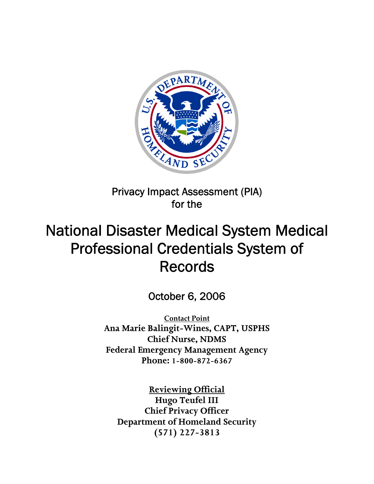

## Privacy Impact Assessment (PIA) for the

# National Disaster Medical System Medical Professional Credentials System of Records

October 6, 2006

**Contact Point** <sup>U</sup>**Ana Marie Balingit-Wines, CAPT, USPHS Chief Nurse, NDMS Federal Emergency Management Agency Phone: 1-800-872-6367**

<sup>U</sup>**Reviewing Official** <sup>U</sup>**Hugo Teufel III Chief Privacy Officer Department of Homeland Security (571) 227-3813**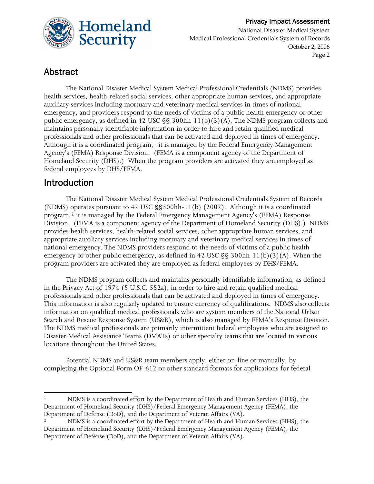

#### Privacy Impact Assessment National Disaster Medical System Medical Professional Credentials System of Records October 2, 2006

Page 2

## Abstract

The National Disaster Medical System Medical Professional Credentials (NDMS) provides health services, health-related social services, other appropriate human services, and appropriate auxiliary services including mortuary and veterinary medical services in times of national emergency, and providers respond to the needs of victims of a public health emergency or other public emergency, as defined in 42 USC §§ 300hh-11(b)(3)(A). The NDMS program collects and maintains personally identifiable information in order to hire and retain qualified medical professionals and other professionals that can be activated and deployed in times of emergency. Although it is a coordinated program,<sup>1</sup> it is managed by the Federal Emergency Management Agency's (FEMA) Response Division. (FEMA is a component agency of the Department of Homeland Security (DHS).) When the program providers are activated they are employed as federal employees by DHS/FEMA.

## Introduction

The National Disaster Medical System Medical Professional Credentials System of Records (NDMS) operates pursuant to 42 USC §§300hh-11(b) (2002). Although it is a coordinated program,<sup>2</sup> it is managed by the Federal Emergency Management Agency's (FEMA) Response Division. (FEMA is a component agency of the Department of Homeland Security (DHS).) NDMS provides health services, health-related social services, other appropriate human services, and appropriate auxiliary services including mortuary and veterinary medical services in times of national emergency. The NDMS providers respond to the needs of victims of a public health emergency or other public emergency, as defined in 42 USC §§ 300hh-11(b)(3)(A). When the program providers are activated they are employed as federal employees by DHS/FEMA.

The NDMS program collects and maintains personally identifiable information, as defined in the Privacy Act of 1974 (5 U.S.C. 552a), in order to hire and retain qualified medical professionals and other professionals that can be activated and deployed in times of emergency. This information is also regularly updated to ensure currency of qualifications. NDMS also collects information on qualified medical professionals who are system members of the National Urban Search and Rescue Response System (US&R), which is also managed by FEMA's Response Division. The NDMS medical professionals are primarily intermittent federal employees who are assigned to Disaster Medical Assistance Teams (DMATs) or other specialty teams that are located in various locations throughout the United States.

Potential NDMS and US&R team members apply, either on-line or manually, by completing the Optional Form OF-612 or other standard formats for applications for federal

<sup>1</sup> NDMS is a coordinated effort by the Department of Health and Human Services (HHS), the Department of Homeland Security (DHS)/Federal Emergency Management Agency (FEMA), the Department of Defense (DoD), and the Department of Veteran Affairs (VA).

NDMS is a coordinated effort by the Department of Health and Human Services (HHS), the Department of Homeland Security (DHS)/Federal Emergency Management Agency (FEMA), the Department of Defense (DoD), and the Department of Veteran Affairs (VA).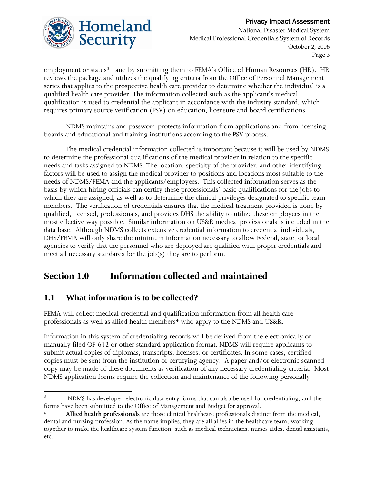

 Privacy Impact Assessment National Disaster Medical System Medical Professional Credentials System of Records October 2, 2006 Page 3

employment or status<sup>3</sup> and by submitting them to FEMA's Office of Human Resources (HR). HR reviews the package and utilizes the qualifying criteria from the Office of Personnel Management series that applies to the prospective health care provider to determine whether the individual is a qualified health care provider. The information collected such as the applicant's medical qualification is used to credential the applicant in accordance with the industry standard, which requires primary source verification (PSV) on education, licensure and board certifications.

NDMS maintains and password protects information from applications and from licensing boards and educational and training institutions according to the PSV process.

The medical credential information collected is important because it will be used by NDMS to determine the professional qualifications of the medical provider in relation to the specific needs and tasks assigned to NDMS. The location, specialty of the provider, and other identifying factors will be used to assign the medical provider to positions and locations most suitable to the needs of NDMS/FEMA and the applicants/employees. This collected information serves as the basis by which hiring officials can certify these professionals' basic qualifications for the jobs to which they are assigned, as well as to determine the clinical privileges designated to specific team members. The verification of credentials ensures that the medical treatment provided is done by qualified, licensed, professionals, and provides DHS the ability to utilize these employees in the most effective way possible. Similar information on US&R medical professionals is included in the data base. Although NDMS collects extensive credential information to credential individuals, DHS/FEMA will only share the minimum information necessary to allow Federal, state, or local agencies to verify that the personnel who are deployed are qualified with proper credentials and meet all necessary standards for the job(s) they are to perform.

## **Section 1.0 Information collected and maintained**

### **1.1 What information is to be collected?**

FEMA will collect medical credential and qualification information from all health care professionals as well as allied health members<sup>4</sup> who apply to the NDMS and US&R.

Information in this system of credentialing records will be derived from the electronically or manually filed OF 612 or other standard application format. NDMS will require applicants to submit actual copies of diplomas, transcripts, licenses, or certificates. In some cases, certified copies must be sent from the institution or certifying agency. A paper and/or electronic scanned copy may be made of these documents as verification of any necessary credentialing criteria. Most NDMS application forms require the collection and maintenance of the following personally

<sup>&</sup>lt;u> 1989 - Johann Stein, marwolaethau a bhann an t-Amhair Aonaichte an t-Amhair Aonaichte an t-Amhair Aonaichte a</u> 3 NDMS has developed electronic data entry forms that can also be used for credentialing, and the forms have been submitted to the Office of Management and Budget for approval.

Allied health professionals are those clinical healthcare professionals distinct from the medical, dental and nursing profession. As the name implies, they are all allies in the healthcare team, working together to make the healthcare system function, such as medical technicians, nurses aides, dental assistants, etc.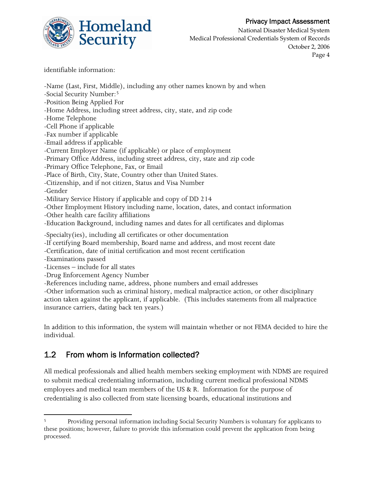

National Disaster Medical System Medical Professional Credentials System of Records October 2, 2006 Page 4

identifiable information:

-Name (Last, First, Middle), including any other names known by and when -Social Security Number:<sup>5</sup> -Position Being Applied For -Home Address, including street address, city, state, and zip code -Home Telephone -Cell Phone if applicable -Fax number if applicable -Email address if applicable -Current Employer Name (if applicable) or place of employment -Primary Office Address, including street address, city, state and zip code -Primary Office Telephone, Fax, or Email -Place of Birth, City, State, Country other than United States. -Citizenship, and if not citizen, Status and Visa Number -Gender -Military Service History if applicable and copy of DD 214 -Other Employment History including name, location, dates, and contact information -Other health care facility affiliations -Education Background, including names and dates for all certificates and diplomas -Specialty(ies), including all certificates or other documentation -If certifying Board membership, Board name and address, and most recent date -Certification, date of initial certification and most recent certification -Examinations passed -Licenses – include for all states -Drug Enforcement Agency Number -References including name, address, phone numbers and email addresses -Other information such as criminal history, medical malpractice action, or other disciplinary action taken against the applicant, if applicable. (This includes statements from all malpractice insurance carriers, dating back ten years.)

In addition to this information, the system will maintain whether or not FEMA decided to hire the individual.

### 1.2 From whom is Information collected?

All medical professionals and allied health members seeking employment with NDMS are required to submit medical credentialing information, including current medical professional NDMS employees and medical team members of the US & R. Information for the purpose of credentialing is also collected from state licensing boards, educational institutions and

 <sup>5</sup>PT Providing personal information including Social Security Numbers is voluntary for applicants to these positions; however, failure to provide this information could prevent the application from being processed.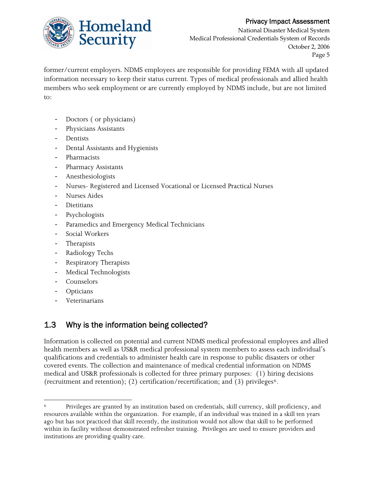

National Disaster Medical System Medical Professional Credentials System of Records October 2, 2006 Page 5

former/current employers. NDMS employees are responsible for providing FEMA with all updated information necessary to keep their status current. Types of medical professionals and allied health members who seek employment or are currently employed by NDMS include, but are not limited to:

- Doctors (or physicians)
- ‐ Physicians Assistants
- **Dentists**
- ‐ Dental Assistants and Hygienists
- ‐ Pharmacists
- ‐ Pharmacy Assistants
- ‐ Anesthesiologists
- ‐ Nurses- Registered and Licensed Vocational or Licensed Practical Nurses
- ‐ Nurses Aides
- **Dietitians**
- **Psychologists**
- Paramedics and Emergency Medical Technicians
- ‐ Social Workers
- ‐ Therapists
- ‐ Radiology Techs
- ‐ Respiratory Therapists
- ‐ Medical Technologists
- ‐ Counselors
- **Opticians**
- **Veterinarians**

## 1.3 Why is the information being collected?

Information is collected on potential and current NDMS medical professional employees and allied health members as well as US&R medical professional system members to assess each individual's qualifications and credentials to administer health care in response to public disasters or other covered events. The collection and maintenance of medical credential information on NDMS medical and US&R professionals is collected for three primary purposes: (1) hiring decisions (recruitment and retention); (2) certification/recertification; and (3) privileges<sup>6</sup>.

<sup>&</sup>lt;u> 1989 - Johann Stein, marwolaethau a bhann an t-Amhair Aonaichte an t-Amhair Aonaichte an t-Amhair Aonaichte a</u> Privileges are granted by an institution based on credentials, skill currency, skill proficiency, and resources available within the organization. For example, if an individual was trained in a skill ten years ago but has not practiced that skill recently, the institution would not allow that skill to be performed within its facility without demonstrated refresher training. Privileges are used to ensure providers and institutions are providing quality care.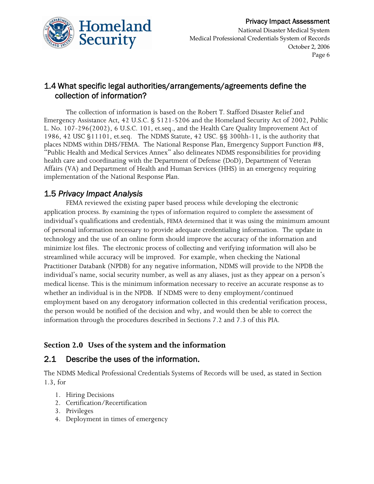

### 1.4 What specific legal authorities/arrangements/agreements define the collection of information?

 The collection of information is based on the Robert T. Stafford Disaster Relief and Emergency Assistance Act, 42 U.S.C. § 5121-5206 and the Homeland Security Act of 2002, Public L. No. 107-296(2002), 6 U.S.C. 101, et.seq., and the Health Care Quality Improvement Act of 1986, 42 USC §11101, et.seq. The NDMS Statute, 42 USC. §§ 300hh-11, is the authority that places NDMS within DHS/FEMA. The National Response Plan, Emergency Support Function #8, "Public Health and Medical Services Annex" also delineates NDMS responsibilities for providing health care and coordinating with the Department of Defense (DoD), Department of Veteran Affairs (VA) and Department of Health and Human Services (HHS) in an emergency requiring implementation of the National Response Plan.

### 1.5 *Privacy Impact Analysis*

FEMA reviewed the existing paper based process while developing the electronic application process. By examining the types of information required to complete the assessment of individual's qualifications and credentials, FEMA determined that it was using the minimum amount of personal information necessary to provide adequate credentialing information. The update in technology and the use of an online form should improve the accuracy of the information and minimize lost files. The electronic process of collecting and verifying information will also be streamlined while accuracy will be improved. For example, when checking the National Practitioner Databank (NPDB) for any negative information, NDMS will provide to the NPDB the individual's name, social security number, as well as any aliases, just as they appear on a person's medical license. This is the minimum information necessary to receive an accurate response as to whether an individual is in the NPDB. If NDMS were to deny employment/continued employment based on any derogatory information collected in this credential verification process, the person would be notified of the decision and why, and would then be able to correct the information through the procedures described in Sections 7.2 and 7.3 of this PIA.

### **Section 2.0 Uses of the system and the information**

### 2.1 Describe the uses of the information.

The NDMS Medical Professional Credentials Systems of Records will be used, as stated in Section 1.3, for

- 1. Hiring Decisions
- 2. Certification/Recertification
- 3. Privileges
- 4. Deployment in times of emergency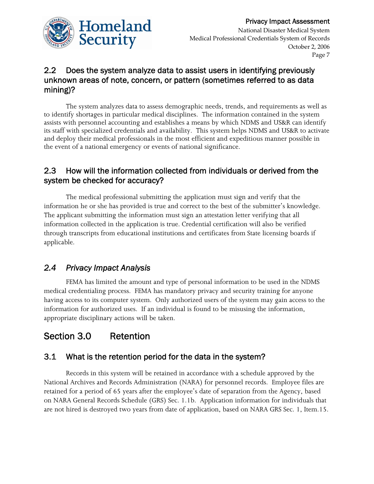

### 2.2 Does the system analyze data to assist users in identifying previously unknown areas of note, concern, or pattern (sometimes referred to as data mining)?

 The system analyzes data to assess demographic needs, trends, and requirements as well as to identify shortages in particular medical disciplines. The information contained in the system assists with personnel accounting and establishes a means by which NDMS and US&R can identify its staff with specialized credentials and availability. This system helps NDMS and US&R to activate and deploy their medical professionals in the most efficient and expeditious manner possible in the event of a national emergency or events of national significance.

### 2.3 How will the information collected from individuals or derived from the system be checked for accuracy?

 The medical professional submitting the application must sign and verify that the information he or she has provided is true and correct to the best of the submitter's knowledge. The applicant submitting the information must sign an attestation letter verifying that all information collected in the application is true. Credential certification will also be verified through transcripts from educational institutions and certificates from State licensing boards if applicable.

### *2.4 Privacy Impact Analysis*

FEMA has limited the amount and type of personal information to be used in the NDMS medical credentialing process. FEMA has mandatory privacy and security training for anyone having access to its computer system. Only authorized users of the system may gain access to the information for authorized uses. If an individual is found to be misusing the information, appropriate disciplinary actions will be taken.

## Section 3.0 Retention

### 3.1 What is the retention period for the data in the system?

 Records in this system will be retained in accordance with a schedule approved by the National Archives and Records Administration (NARA) for personnel records. Employee files are retained for a period of 65 years after the employee's date of separation from the Agency, based on NARA General Records Schedule (GRS) Sec. 1.1b. Application information for individuals that are not hired is destroyed two years from date of application, based on NARA GRS Sec. 1, Item.15.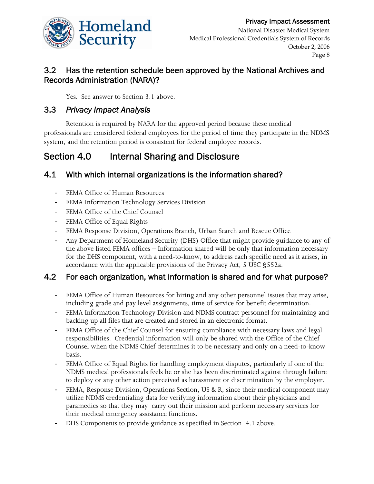

Page 8

### 3.2 Has the retention schedule been approved by the National Archives and Records Administration (NARA)?

Yes. See answer to Section 3.1 above.

### 3.3 *Privacy Impact Analysis*

Retention is required by NARA for the approved period because these medical professionals are considered federal employees for the period of time they participate in the NDMS system, and the retention period is consistent for federal employee records.

## Section 4.0 Internal Sharing and Disclosure

### 4.1 With which internal organizations is the information shared?

- FEMA Office of Human Resources
- FEMA Information Technology Services Division
- FEMA Office of the Chief Counsel
- ‐ FEMA Office of Equal Rights
- ‐ FEMA Response Division, Operations Branch, Urban Search and Rescue Office
- ‐ Any Department of Homeland Security (DHS) Office that might provide guidance to any of the above listed FEMA offices – Information shared will be only that information necessary for the DHS component, with a need-to-know, to address each specific need as it arises, in accordance with the applicable provisions of the Privacy Act, 5 USC §552a.

### 4.2 For each organization, what information is shared and for what purpose?

- ‐ FEMA Office of Human Resources for hiring and any other personnel issues that may arise, including grade and pay level assignments, time of service for benefit determination.
- FEMA Information Technology Division and NDMS contract personnel for maintaining and backing up all files that are created and stored in an electronic format.
- ‐ FEMA Office of the Chief Counsel for ensuring compliance with necessary laws and legal responsibilities. Credential information will only be shared with the Office of the Chief Counsel when the NDMS Chief determines it to be necessary and only on a need-to-know basis.
- FEMA Office of Equal Rights for handling employment disputes, particularly if one of the NDMS medical professionals feels he or she has been discriminated against through failure to deploy or any other action perceived as harassment or discrimination by the employer.
- FEMA, Response Division, Operations Section, US & R, since their medical component may utilize NDMS credentialing data for verifying information about their physicians and paramedics so that they may carry out their mission and perform necessary services for their medical emergency assistance functions.
- ‐ DHS Components to provide guidance as specified in Section 4.1 above.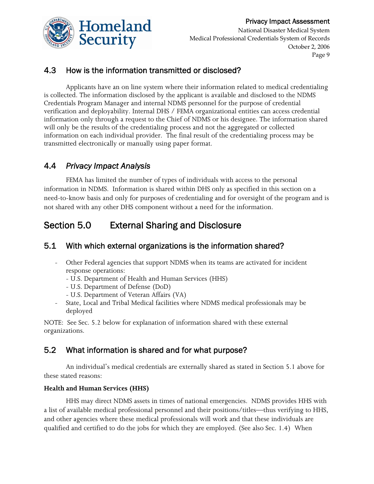

National Disaster Medical System Medical Professional Credentials System of Records October 2, 2006 Page 9

### 4.3 How is the information transmitted or disclosed?

 Applicants have an on line system where their information related to medical credentialing is collected. The information disclosed by the applicant is available and disclosed to the NDMS Credentials Program Manager and internal NDMS personnel for the purpose of credential verification and deployability. Internal DHS / FEMA organizational entities can access credential information only through a request to the Chief of NDMS or his designee. The information shared will only be the results of the credentialing process and not the aggregated or collected information on each individual provider. The final result of the credentialing process may be transmitted electronically or manually using paper format.

### 4.4 *Privacy Impact Analysis*

 FEMA has limited the number of types of individuals with access to the personal information in NDMS. Information is shared within DHS only as specified in this section on a need-to-know basis and only for purposes of credentialing and for oversight of the program and is not shared with any other DHS component without a need for the information.

## Section 5.0 External Sharing and Disclosure

### 5.1 With which external organizations is the information shared?

- Other Federal agencies that support NDMS when its teams are activated for incident response operations:
	- U.S. Department of Health and Human Services (HHS)
	- U.S. Department of Defense (DoD)
	- U.S. Department of Veteran Affairs (VA)
- State, Local and Tribal Medical facilities where NDMS medical professionals may be deployed

NOTE: See Sec. 5.2 below for explanation of information shared with these external organizations.

### 5.2 What information is shared and for what purpose?

 An individual's medical credentials are externally shared as stated in Section 5.1 above for these stated reasons:

### **Health and Human Services (HHS)**

 HHS may direct NDMS assets in times of national emergencies. NDMS provides HHS with a list of available medical professional personnel and their positions/titles—thus verifying to HHS, and other agencies where these medical professionals will work and that these individuals are qualified and certified to do the jobs for which they are employed. (See also Sec. 1.4) When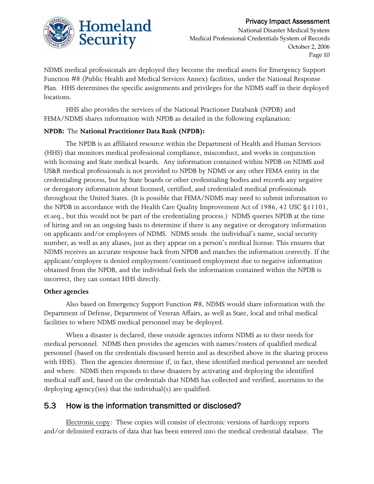

National Disaster Medical System Medical Professional Credentials System of Records October 2, 2006 Page 10

NDMS medical professionals are deployed they become the medical assets for Emergency Support Function #8 (Public Health and Medical Services Annex) facilities, under the National Response Plan. HHS determines the specific assignments and privileges for the NDMS staff in their deployed locations.

 HHS also provides the services of the National Practioner Databank (NPDB) and FEMA/NDMS shares information with NPDB as detailed in the following explanation:

#### **NPDB:** The **National Practitioner Data Bank (NPDB):**

 The NPDB is an affiliated resource within the Department of Health and Human Services (HHS) that monitors medical professional compliance, misconduct, and works in conjunction with licensing and State medical boards. Any information contained within NPDB on NDMS and US&R medical professionals is not provided to NPDB by NDMS or any other FEMA entity in the credentialing process, but by State boards or other credentialing bodies and records any negative or derogatory information about licensed, certified, and credentialed medical professionals throughout the United States. (It is possible that FEMA/NDMS may need to submit information to the NPDB in accordance with the Health Care Quality Improvement Act of 1986, 42 USC §11101, et.seq., but this would not be part of the credentialing process.) NDMS queries NPDB at the time of hiring and on an ongoing basis to determine if there is any negative or derogatory information on applicants and/or employees of NDMS. NDMS sends the individual's name, social security number, as well as any aliases, just as they appear on a person's medical license. This ensures that NDMS receives an accurate response back from NPDB and matches the information correctly. If the applicant/employee is denied employment/continued employment due to negative information obtained from the NPDB, and the individual feels the information contained within the NPDB is incorrect, they can contact HHS directly.

#### **Other agencies**

 Also based on Emergency Support Function #8, NDMS would share information with the Department of Defense, Department of Veteran Affairs, as well as State, local and tribal medical facilities to where NDMS medical personnel may be deployed.

 When a disaster is declared, these outside agencies inform NDMS as to their needs for medical personnel. NDMS then provides the agencies with names/rosters of qualified medical personnel (based on the credentials discussed herein and as described above in the sharing process with HHS). Then the agencies determine if, in fact, these identified medical personnel are needed and where. NDMS then responds to these disasters by activating and deploying the identified medical staff and, based on the credentials that NDMS has collected and verified, ascertains to the deploying agency(ies) that the individual(s) are qualified.

### 5.3 How is the information transmitted or disclosed?

Electronic copy: These copies will consist of electronic versions of hardcopy reports and/or delimited extracts of data that has been entered into the medical credential database. The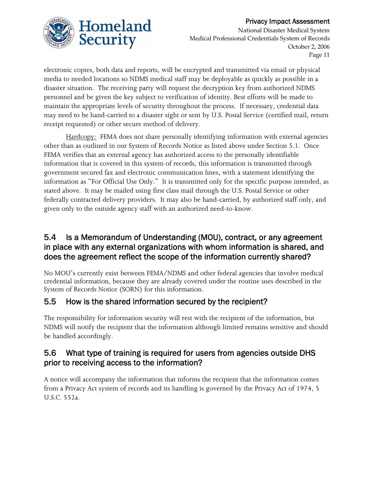

National Disaster Medical System Medical Professional Credentials System of Records October 2, 2006 Page 11

electronic copies, both data and reports, will be encrypted and transmitted via email or physical media to needed locations so NDMS medical staff may be deployable as quickly as possible in a disaster situation. The receiving party will request the decryption key from authorized NDMS personnel and be given the key subject to verification of identity. Best efforts will be made to maintain the appropriate levels of security throughout the process. If necessary, credential data may need to be hand-carried to a disaster sight or sent by U.S. Postal Service (certified mail, return receipt requested) or other secure method of delivery.

Hardcopy: FEMA does not share personally identifying information with external agencies other than as outlined in our System of Records Notice as listed above under Section 5.1. Once FEMA verifies that an external agency has authorized access to the personally identifiable information that is covered in this system of records, this information is transmitted through government secured fax and electronic communication lines, with a statement identifying the information as "For Official Use Only." It is transmitted only for the specific purpose intended, as stated above. It may be mailed using first class mail through the U.S. Postal Service or other federally contracted delivery providers. It may also be hand-carried, by authorized staff only, and given only to the outside agency staff with an authorized need-to-know.

### 5.4 Is a Memorandum of Understanding (MOU), contract, or any agreement in place with any external organizations with whom information is shared, and does the agreement reflect the scope of the information currently shared?

No MOU's currently exist between FEMA/NDMS and other federal agencies that involve medical credential information, because they are already covered under the routine uses described in the System of Records Notice (SORN) for this information.

### 5.5 How is the shared information secured by the recipient?

The responsibility for information security will rest with the recipient of the information, but NDMS will notify the recipient that the information although limited remains sensitive and should be handled accordingly.

### 5.6 What type of training is required for users from agencies outside DHS prior to receiving access to the information?

A notice will accompany the information that informs the recipient that the information comes from a Privacy Act system of records and its handling is governed by the Privacy Act of 1974, 5 U.S.C. 552a.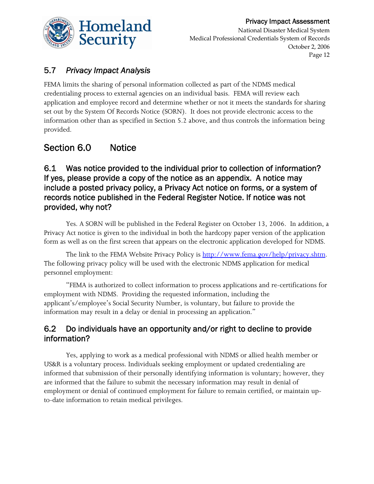

Page 12

## 5.7 *Privacy Impact Analysis*

FEMA limits the sharing of personal information collected as part of the NDMS medical credentialing process to external agencies on an individual basis. FEMA will review each application and employee record and determine whether or not it meets the standards for sharing set out by the System Of Records Notice (SORN). It does not provide electronic access to the information other than as specified in Section 5.2 above, and thus controls the information being provided.

## Section 6.0 Notice

### 6.1 Was notice provided to the individual prior to collection of information? If yes, please provide a copy of the notice as an appendix. A notice may include a posted privacy policy, a Privacy Act notice on forms, or a system of records notice published in the Federal Register Notice. If notice was not provided, why not?

 Yes. A SORN will be published in the Federal Register on October 13, 2006. In addition, a Privacy Act notice is given to the individual in both the hardcopy paper version of the application form as well as on the first screen that appears on the electronic application developed for NDMS.

The link to the FEMA Website Privacy Policy is http://www.fema.gov/help/privacy.shtm. The following privacy policy will be used with the electronic NDMS application for medical personnel employment:

 "FEMA is authorized to collect information to process applications and re-certifications for employment with NDMS. Providing the requested information, including the applicant's/employee's Social Security Number, is voluntary, but failure to provide the information may result in a delay or denial in processing an application."

### 6.2 Do individuals have an opportunity and/or right to decline to provide information?

 Yes, applying to work as a medical professional with NDMS or allied health member or US&R is a voluntary process. Individuals seeking employment or updated credentialing are informed that submission of their personally identifying information is voluntary; however, they are informed that the failure to submit the necessary information may result in denial of employment or denial of continued employment for failure to remain certified, or maintain upto-date information to retain medical privileges.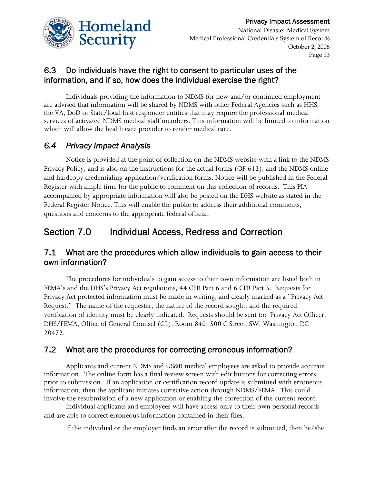

### 6.3 Do individuals have the right to consent to particular uses of the information, and if so, how does the individual exercise the right?

 Individuals providing the information to NDMS for new and/or continued employment are advised that information will be shared by NDMS with other Federal Agencies such as HHS, the VA, DoD or State/local first responder entities that may require the professional medical services of activated NDMS medical staff members. This information will be limited to information which will allow the health care provider to render medical care.

### *6.4 Privacy Impact Analysis*

 Notice is provided at the point of collection on the NDMS website with a link to the NDMS Privacy Policy, and is also on the instructions for the actual forms (OF 612), and the NDMS online and hardcopy credentialing application/verification forms. Notice will be published in the Federal Register with ample time for the public to comment on this collection of records. This PIA accompanied by appropriate information will also be posted on the DHS website as stated in the Federal Register Notice. This will enable the public to address their additional comments, questions and concerns to the appropriate federal official.

## Section 7.0 Individual Access, Redress and Correction

### 7.1 What are the procedures which allow individuals to gain access to their own information?

 The procedures for individuals to gain access to their own information are listed both in FEMA's and the DHS's Privacy Act regulations, 44 CFR Part 6 and 6 CFR Part 5. Requests for Privacy Act protected information must be made in writing, and clearly marked as a "Privacy Act Request." The name of the requester, the nature of the record sought, and the required verification of identity must be clearly indicated. Requests should be sent to: Privacy Act Officer, DHS/FEMA, Office of General Counsel (GL), Room 840, 500 C Street, SW, Washington DC 20472.

### 7.2 What are the procedures for correcting erroneous information?

 Applicants and current NDMS and US&R medical employees are asked to provide accurate information. The online form has a final review screen with edit buttons for correcting errors prior to submission. If an application or certification record update is submitted with erroneous information, then the applicant initiates corrective action through NDMS/FEMA. This could involve the resubmission of a new application or enabling the correction of the current record.

 Individual applicants and employees will have access only to their own personal records and are able to correct erroneous information contained in their files.

If the individual or the employer finds an error after the record is submitted, then he/she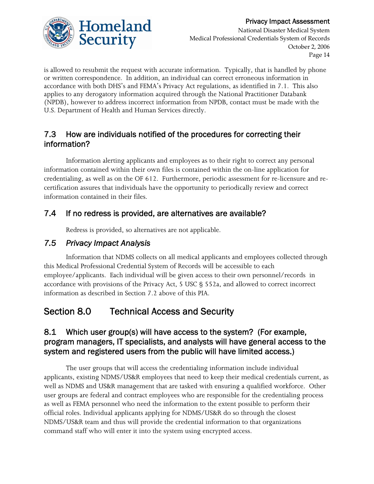

National Disaster Medical System Medical Professional Credentials System of Records October 2, 2006 Page 14

is allowed to resubmit the request with accurate information. Typically, that is handled by phone or written correspondence. In addition, an individual can correct erroneous information in accordance with both DHS's and FEMA's Privacy Act regulations, as identified in 7.1. This also applies to any derogatory information acquired through the National Practitioner Databank (NPDB), however to address incorrect information from NPDB, contact must be made with the U.S. Department of Health and Human Services directly.

### 7.3 How are individuals notified of the procedures for correcting their information?

 Information alerting applicants and employees as to their right to correct any personal information contained within their own files is contained within the on-line application for credentialing, as well as on the OF 612. Furthermore, periodic assessment for re-licensure and recertification assures that individuals have the opportunity to periodically review and correct information contained in their files.

### 7.4 If no redress is provided, are alternatives are available?

Redress is provided, so alternatives are not applicable.

### *7.5 Privacy Impact Analysis*

 Information that NDMS collects on all medical applicants and employees collected through this Medical Professional Credential System of Records will be accessible to each employee/applicants. Each individual will be given access to their own personnel/records in accordance with provisions of the Privacy Act, 5 USC § 552a, and allowed to correct incorrect information as described in Section 7.2 above of this PIA.

## Section 8.0 Technical Access and Security

### 8.1 Which user group(s) will have access to the system? (For example, program managers, IT specialists, and analysts will have general access to the system and registered users from the public will have limited access.)

 The user groups that will access the credentialing information include individual applicants, existing NDMS/US&R employees that need to keep their medical credentials current, as well as NDMS and US&R management that are tasked with ensuring a qualified workforce. Other user groups are federal and contract employees who are responsible for the credentialing process as well as FEMA personnel who need the information to the extent possible to perform their official roles. Individual applicants applying for NDMS/US&R do so through the closest NDMS/US&R team and thus will provide the credential information to that organizations command staff who will enter it into the system using encrypted access.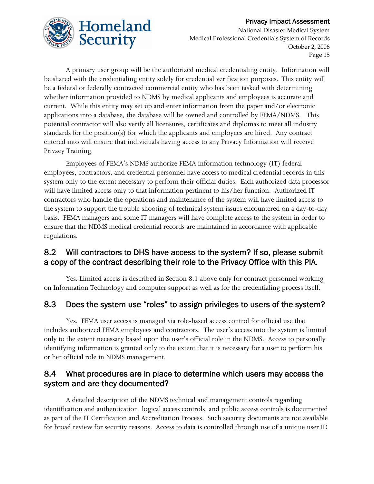

National Disaster Medical System Medical Professional Credentials System of Records October 2, 2006 Page 15

 A primary user group will be the authorized medical credentialing entity. Information will be shared with the credentialing entity solely for credential verification purposes.This entity will be a federal or federally contracted commercial entity who has been tasked with determining whether information provided to NDMS by medical applicants and employees is accurate and current. While this entity may set up and enter information from the paper and/or electronic applications into a database, the database will be owned and controlled by FEMA/NDMS. This potential contractor will also verify all licensures, certificates and diplomas to meet all industry standards for the position(s) for which the applicants and employees are hired. Any contract entered into will ensure that individuals having access to any Privacy Information will receive Privacy Training.

 Employees of FEMA's NDMS authorize FEMA information technology (IT) federal employees, contractors, and credential personnel have access to medical credential records in this system only to the extent necessary to perform their official duties. Each authorized data processor will have limited access only to that information pertinent to his/her function. Authorized IT contractors who handle the operations and maintenance of the system will have limited access to the system to support the trouble shooting of technical system issues encountered on a day-to-day basis. FEMA managers and some IT managers will have complete access to the system in order to ensure that the NDMS medical credential records are maintained in accordance with applicable regulations.

### 8.2 Will contractors to DHS have access to the system? If so, please submit a copy of the contract describing their role to the Privacy Office with this PIA.

 Yes. Limited access is described in Section 8.1 above only for contract personnel working on Information Technology and computer support as well as for the credentialing process itself.

### 8.3 Does the system use "roles" to assign privileges to users of the system?

 Yes. FEMA user access is managed via role-based access control for official use that includes authorized FEMA employees and contractors. The user's access into the system is limited only to the extent necessary based upon the user's official role in the NDMS. Access to personally identifying information is granted only to the extent that it is necessary for a user to perform his or her official role in NDMS management.

### 8.4 What procedures are in place to determine which users may access the system and are they documented?

 A detailed description of the NDMS technical and management controls regarding identification and authentication, logical access controls, and public access controls is documented as part of the IT Certification and Accreditation Process. Such security documents are not available for broad review for security reasons. Access to data is controlled through use of a unique user ID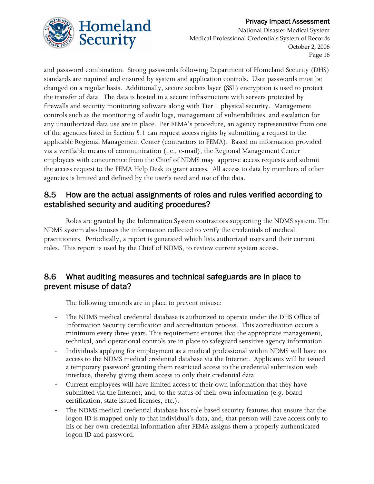

National Disaster Medical System Medical Professional Credentials System of Records October 2, 2006 Page 16

and password combination. Strong passwords following Department of Homeland Security (DHS) standards are required and ensured by system and application controls. User passwords must be changed on a regular basis. Additionally, secure sockets layer (SSL) encryption is used to protect the transfer of data. The data is hosted in a secure infrastructure with servers protected by firewalls and security monitoring software along with Tier 1 physical security. Management controls such as the monitoring of audit logs, management of vulnerabilities, and escalation for any unauthorized data use are in place. Per FEMA's procedure, an agency representative from one of the agencies listed in Section 5.1 can request access rights by submitting a request to the applicable Regional Management Center (contractors to FEMA). Based on information provided via a verifiable means of communication (i.e., e-mail), the Regional Management Center employees with concurrence from the Chief of NDMS may approve access requests and submit the access request to the FEMA Help Desk to grant access. All access to data by members of other agencies is limited and defined by the user's need and use of the data.

### 8.5 How are the actual assignments of roles and rules verified according to established security and auditing procedures?

 Roles are granted by the Information System contractors supporting the NDMS system. The NDMS system also houses the information collected to verify the credentials of medical practitioners. Periodically, a report is generated which lists authorized users and their current roles. This report is used by the Chief of NDMS, to review current system access.

### 8.6 What auditing measures and technical safeguards are in place to prevent misuse of data?

The following controls are in place to prevent misuse:

- ‐ The NDMS medical credential database is authorized to operate under the DHS Office of Information Security certification and accreditation process. This accreditation occurs a minimum every three years. This requirement ensures that the appropriate management, technical, and operational controls are in place to safeguard sensitive agency information.
- ‐ Individuals applying for employment as a medical professional within NDMS will have no access to the NDMS medical credential database via the Internet. Applicants will be issued a temporary password granting them restricted access to the credential submission web interface, thereby giving them access to only their credential data.
- ‐ Current employees will have limited access to their own information that they have submitted via the Internet, and, to the status of their own information (e.g. board certification, state issued licenses, etc.).
- The NDMS medical credential database has role based security features that ensure that the logon ID is mapped only to that individual's data, and, that person will have access only to his or her own credential information after FEMA assigns them a properly authenticated logon ID and password.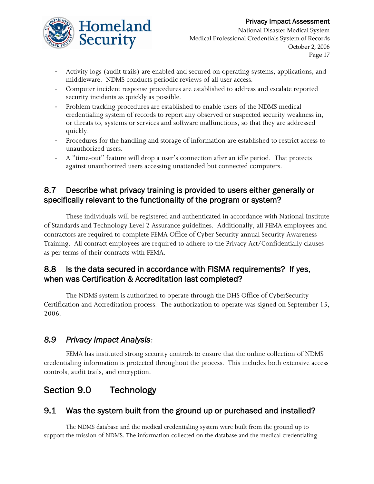

National Disaster Medical System Medical Professional Credentials System of Records October 2, 2006 Page 17

- ‐ Activity logs (audit trails) are enabled and secured on operating systems, applications, and middleware. NDMS conducts periodic reviews of all user access.
- ‐ Computer incident response procedures are established to address and escalate reported security incidents as quickly as possible.
- ‐ Problem tracking procedures are established to enable users of the NDMS medical credentialing system of records to report any observed or suspected security weakness in, or threats to, systems or services and software malfunctions, so that they are addressed quickly.
- ‐ Procedures for the handling and storage of information are established to restrict access to unauthorized users.
- ‐ A "time-out" feature will drop a user's connection after an idle period. That protects against unauthorized users accessing unattended but connected computers.

### 8.7 Describe what privacy training is provided to users either generally or specifically relevant to the functionality of the program or system?

These individuals will be registered and authenticated in accordance with National Institute of Standards and Technology Level 2 Assurance guidelines. Additionally, all FEMA employees and contractors are required to complete FEMA Office of Cyber Security annual Security Awareness Training. All contract employees are required to adhere to the Privacy Act/Confidentially clauses as per terms of their contracts with FEMA.

### 8.8 Is the data secured in accordance with FISMA requirements? If yes, when was Certification & Accreditation last completed?

The NDMS system is authorized to operate through the DHS Office of CyberSecurity Certification and Accreditation process. The authorization to operate was signed on September 15, 2006.

### *8.9 Privacy Impact Analysis:*

FEMA has instituted strong security controls to ensure that the online collection of NDMS credentialing information is protected throughout the process. This includes both extensive access controls, audit trails, and encryption.

## Section 9.0 Technology

### 9.1 Was the system built from the ground up or purchased and installed?

The NDMS database and the medical credentialing system were built from the ground up to support the mission of NDMS. The information collected on the database and the medical credentialing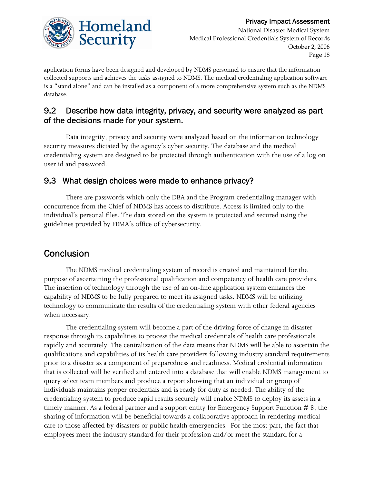# Homeland Security

application forms have been designed and developed by NDMS personnel to ensure that the information collected supports and achieves the tasks assigned to NDMS. The medical credentialing application software is a "stand alone" and can be installed as a component of a more comprehensive system such as the NDMS database.

### 9.2 Describe how data integrity, privacy, and security were analyzed as part of the decisions made for your system.

 Data integrity, privacy and security were analyzed based on the information technology security measures dictated by the agency's cyber security. The database and the medical credentialing system are designed to be protected through authentication with the use of a log on user id and password.

### 9.3 What design choices were made to enhance privacy?

 There are passwords which only the DBA and the Program credentialing manager with concurrence from the Chief of NDMS has access to distribute. Access is limited only to the individual's personal files. The data stored on the system is protected and secured using the guidelines provided by FEMA's office of cybersecurity.

## **Conclusion**

 The NDMS medical credentialing system of record is created and maintained for the purpose of ascertaining the professional qualification and competency of health care providers. The insertion of technology through the use of an on-line application system enhances the capability of NDMS to be fully prepared to meet its assigned tasks. NDMS will be utilizing technology to communicate the results of the credentialing system with other federal agencies when necessary.

 The credentialing system will become a part of the driving force of change in disaster response through its capabilities to process the medical credentials of health care professionals rapidly and accurately. The centralization of the data means that NDMS will be able to ascertain the qualifications and capabilities of its health care providers following industry standard requirements prior to a disaster as a component of preparedness and readiness. Medical credential information that is collected will be verified and entered into a database that will enable NDMS management to query select team members and produce a report showing that an individual or group of individuals maintains proper credentials and is ready for duty as needed. The ability of the credentialing system to produce rapid results securely will enable NDMS to deploy its assets in a timely manner. As a federal partner and a support entity for Emergency Support Function  $# 8$ , the sharing of information will be beneficial towards a collaborative approach in rendering medical care to those affected by disasters or public health emergencies. For the most part, the fact that employees meet the industry standard for their profession and/or meet the standard for a